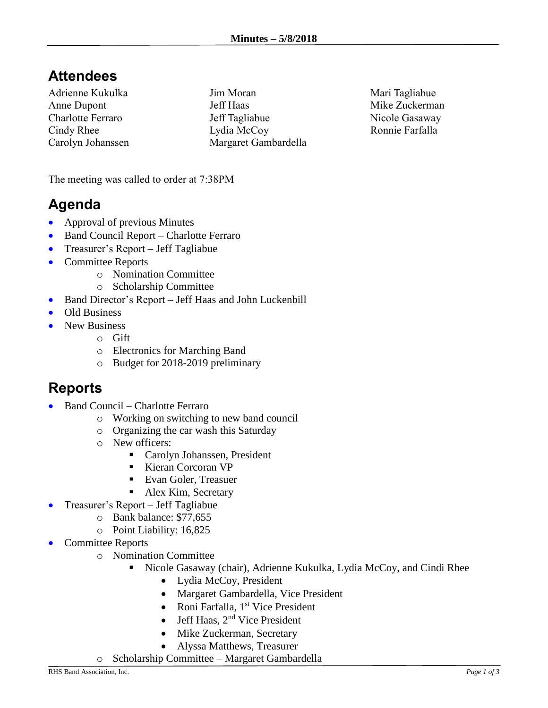## **Attendees**

Adrienne Kukulka Anne Dupont Charlotte Ferraro Cindy Rhee Carolyn Johanssen Jim Moran Jeff Haas Jeff Tagliabue Lydia McCoy Margaret Gambardella Mari Tagliabue Mike Zuckerman Nicole Gasaway Ronnie Farfalla

The meeting was called to order at 7:38PM

## **Agenda**

- Approval of previous Minutes
- Band Council Report Charlotte Ferraro
- Treasurer's Report Jeff Tagliabue
- Committee Reports
	- o Nomination Committee
	- o Scholarship Committee
- Band Director's Report Jeff Haas and John Luckenbill
- Old Business
- New Business
	- o Gift
	- o Electronics for Marching Band
	- o Budget for 2018-2019 preliminary

## **Reports**

- Band Council Charlotte Ferraro
	- o Working on switching to new band council
	- o Organizing the car wash this Saturday
	- o New officers:
		- Carolyn Johanssen, President
		- Kieran Corcoran VP
		- Evan Goler, Treasuer
		- Alex Kim, Secretary
- Treasurer's Report Jeff Tagliabue
	- o Bank balance: \$77,655
	- o Point Liability: 16,825
- Committee Reports
	- o Nomination Committee
		- Nicole Gasaway (chair), Adrienne Kukulka, Lydia McCoy, and Cindi Rhee
			- Lydia McCoy, President
			- Margaret Gambardella, Vice President
			- Roni Farfalla, 1<sup>st</sup> Vice President
			- Jeff Haas,  $2<sup>nd</sup>$  Vice President
			- Mike Zuckerman, Secretary
			- Alyssa Matthews, Treasurer
	- o Scholarship Committee Margaret Gambardella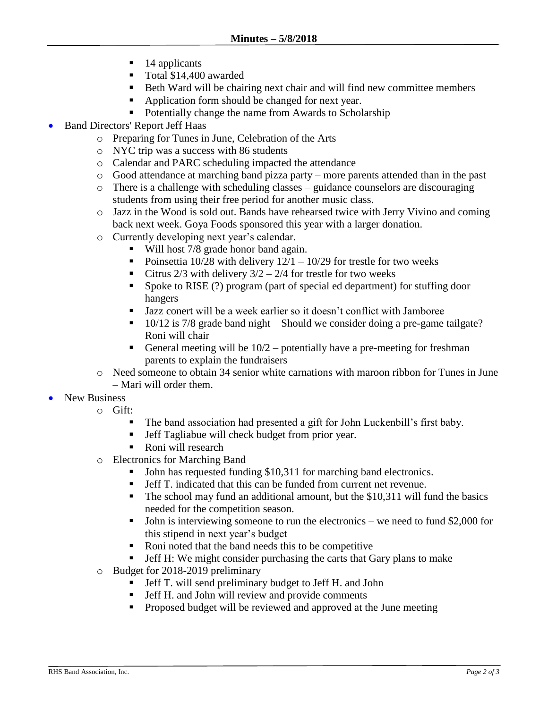- $\blacksquare$  14 applicants
- Total \$14,400 awarded
- Beth Ward will be chairing next chair and will find new committee members
- Application form should be changed for next year.
- Potentially change the name from Awards to Scholarship
- Band Directors' Report Jeff Haas
	- o Preparing for Tunes in June, Celebration of the Arts
	- o NYC trip was a success with 86 students
	- o Calendar and PARC scheduling impacted the attendance
	- o Good attendance at marching band pizza party more parents attended than in the past
	- o There is a challenge with scheduling classes guidance counselors are discouraging students from using their free period for another music class.
	- o Jazz in the Wood is sold out. Bands have rehearsed twice with Jerry Vivino and coming back next week. Goya Foods sponsored this year with a larger donation.
	- o Currently developing next year's calendar.
		- Will host 7/8 grade honor band again.
		- Poinsettia 10/28 with delivery  $12/1 10/29$  for trestle for two weeks
		- Citrus  $2/3$  with delivery  $3/2 2/4$  for trestle for two weeks
		- Spoke to RISE (?) program (part of special ed department) for stuffing door hangers
		- Jazz conert will be a week earlier so it doesn't conflict with Jamboree
		- 10/12 is 7/8 grade band night Should we consider doing a pre-game tailgate? Roni will chair
		- **•** General meeting will be  $10/2$  potentially have a pre-meeting for freshman parents to explain the fundraisers
	- o Need someone to obtain 34 senior white carnations with maroon ribbon for Tunes in June – Mari will order them.
- New Business
	- o Gift:
		- The band association had presented a gift for John Luckenbill's first baby.
		- Jeff Tagliabue will check budget from prior year.
		- Roni will research
	- o Electronics for Marching Band
		- John has requested funding \$10,311 for marching band electronics.
		- Jeff T. indicated that this can be funded from current net revenue.
		- The school may fund an additional amount, but the \$10,311 will fund the basics needed for the competition season.
		- **•** John is interviewing someone to run the electronics we need to fund \$2,000 for this stipend in next year's budget
		- Roni noted that the band needs this to be competitive
		- Jeff H: We might consider purchasing the carts that Gary plans to make
	- o Budget for 2018-2019 preliminary
		- **•** Jeff T. will send preliminary budget to Jeff H. and John
		- Jeff H. and John will review and provide comments
		- Proposed budget will be reviewed and approved at the June meeting